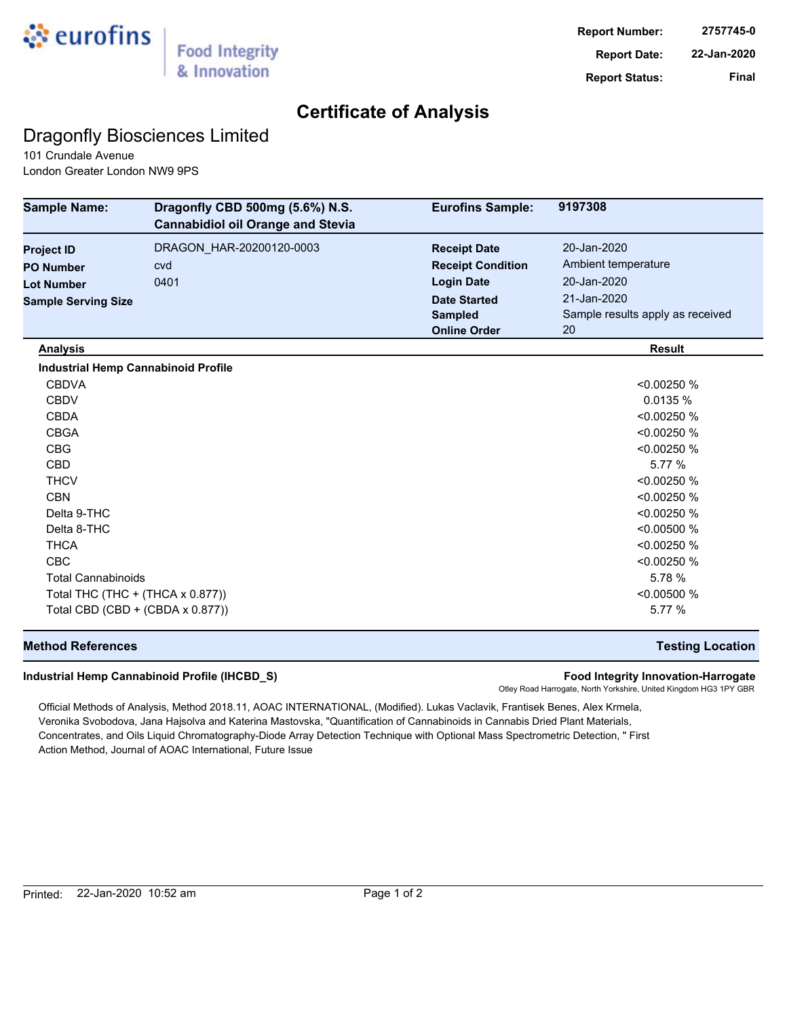

## **Certificate of Analysis**

## Dragonfly Biosciences Limited

101 Crundale Avenue London Greater London NW9 9PS

| <b>Sample Name:</b>                        | Dragonfly CBD 500mg (5.6%) N.S.<br><b>Cannabidiol oil Orange and Stevia</b> | <b>Eurofins Sample:</b>  | 9197308                          |
|--------------------------------------------|-----------------------------------------------------------------------------|--------------------------|----------------------------------|
| <b>Project ID</b>                          | DRAGON_HAR-20200120-0003                                                    | <b>Receipt Date</b>      | 20-Jan-2020                      |
| <b>PO Number</b>                           | cvd                                                                         | <b>Receipt Condition</b> | Ambient temperature              |
| <b>Lot Number</b>                          | 0401                                                                        | <b>Login Date</b>        | 20-Jan-2020                      |
| <b>Sample Serving Size</b>                 |                                                                             | <b>Date Started</b>      | 21-Jan-2020                      |
|                                            |                                                                             | <b>Sampled</b>           | Sample results apply as received |
|                                            |                                                                             | <b>Online Order</b>      | 20                               |
| <b>Analysis</b>                            |                                                                             |                          | <b>Result</b>                    |
| <b>Industrial Hemp Cannabinoid Profile</b> |                                                                             |                          |                                  |
| <b>CBDVA</b>                               |                                                                             |                          | < 0.00250 %                      |
| <b>CBDV</b>                                |                                                                             |                          | 0.0135%                          |
| <b>CBDA</b>                                |                                                                             |                          | < 0.00250 %                      |
| <b>CBGA</b>                                |                                                                             |                          | < 0.00250 %                      |
| <b>CBG</b>                                 |                                                                             |                          | < 0.00250 %                      |
| <b>CBD</b>                                 |                                                                             |                          | 5.77 %                           |
| <b>THCV</b>                                |                                                                             |                          | < 0.00250 %                      |
| <b>CBN</b>                                 |                                                                             |                          | < 0.00250 %                      |
| Delta 9-THC                                |                                                                             |                          | < 0.00250 %                      |
| Delta 8-THC                                |                                                                             |                          | < 0.00500 %                      |
| <b>THCA</b>                                |                                                                             |                          | < 0.00250 %                      |
| <b>CBC</b>                                 |                                                                             |                          | < 0.00250 %                      |
| <b>Total Cannabinoids</b>                  |                                                                             |                          | 5.78 %                           |
| Total THC (THC + (THCA x 0.877))           |                                                                             |                          | < 0.00500 %                      |
| Total CBD (CBD + (CBDA x 0.877))           |                                                                             |                          | 5.77 %                           |

### **Method References Testing Location**

#### **Industrial Hemp Cannabinoid Profile (IHCBD\_S) Food Integrity Innovation-Harrogate**

Otley Road Harrogate, North Yorkshire, United Kingdom HG3 1PY GBR

Official Methods of Analysis, Method 2018.11, AOAC INTERNATIONAL, (Modified). Lukas Vaclavik, Frantisek Benes, Alex Krmela, Veronika Svobodova, Jana Hajsolva and Katerina Mastovska, "Quantification of Cannabinoids in Cannabis Dried Plant Materials, Concentrates, and Oils Liquid Chromatography-Diode Array Detection Technique with Optional Mass Spectrometric Detection, " First Action Method, Journal of AOAC International, Future Issue